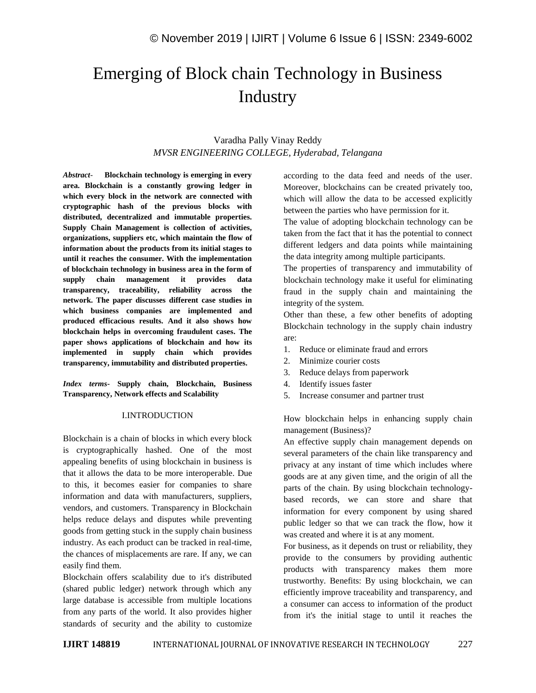# Emerging of Block chain Technology in Business **Industry**

# Varadha Pally Vinay Reddy *MVSR ENGINEERING COLLEGE, Hyderabad, Telangana*

*Abstract*- **Blockchain technology is emerging in every area. Blockchain is a constantly growing ledger in which every block in the network are connected with cryptographic hash of the previous blocks with distributed, decentralized and immutable properties. Supply Chain Management is collection of activities, organizations, suppliers etc, which maintain the flow of information about the products from its initial stages to until it reaches the consumer. With the implementation of blockchain technology in business area in the form of supply chain management it provides data transparency, traceability, reliability across the network. The paper discusses different case studies in which business companies are implemented and produced efficacious results. And it also shows how blockchain helps in overcoming fraudulent cases. The paper shows applications of blockchain and how its implemented in supply chain which provides transparency, immutability and distributed properties.**

*Index terms***- Supply chain, Blockchain, Business Transparency, Network effects and Scalability**

#### I.INTRODUCTION

Blockchain is a chain of blocks in which every block is cryptographically hashed. One of the most appealing benefits of using blockchain in business is that it allows the data to be more interoperable. Due to this, it becomes easier for companies to share information and data with manufacturers, suppliers, vendors, and customers. Transparency in Blockchain helps reduce delays and disputes while preventing goods from getting stuck in the supply chain business industry. As each product can be tracked in real-time, the chances of misplacements are rare. If any, we can easily find them.

Blockchain offers scalability due to it's distributed (shared public ledger) network through which any large database is accessible from multiple locations from any parts of the world. It also provides higher standards of security and the ability to customize according to the data feed and needs of the user. Moreover, blockchains can be created privately too, which will allow the data to be accessed explicitly between the parties who have permission for it.

The value of adopting blockchain technology can be taken from the fact that it has the potential to connect different ledgers and data points while maintaining the data integrity among multiple participants.

The properties of transparency and immutability of blockchain technology make it useful for eliminating fraud in the supply chain and maintaining the integrity of the system.

Other than these, a few other benefits of adopting Blockchain technology in the supply chain industry are:

- 1. Reduce or eliminate fraud and errors
- 2. Minimize courier costs
- 3. Reduce delays from paperwork
- 4. Identify issues faster
- 5. Increase consumer and partner trust

How blockchain helps in enhancing supply chain management (Business)?

An effective supply chain management depends on several parameters of the chain like transparency and privacy at any instant of time which includes where goods are at any given time, and the origin of all the parts of the chain. By using blockchain technologybased records, we can store and share that information for every component by using shared public ledger so that we can track the flow, how it was created and where it is at any moment.

For business, as it depends on trust or reliability, they provide to the consumers by providing authentic products with transparency makes them more trustworthy. Benefits: By using blockchain, we can efficiently improve traceability and transparency, and a consumer can access to information of the product from it's the initial stage to until it reaches the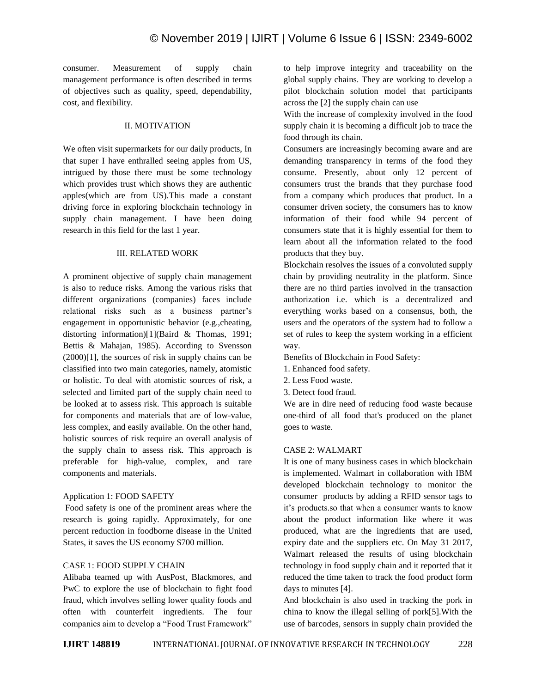consumer. Measurement of supply chain management performance is often described in terms of objectives such as quality, speed, dependability, cost, and flexibility.

# II. MOTIVATION

We often visit supermarkets for our daily products, In that super I have enthralled seeing apples from US, intrigued by those there must be some technology which provides trust which shows they are authentic apples(which are from US).This made a constant driving force in exploring blockchain technology in supply chain management. I have been doing research in this field for the last 1 year.

#### III. RELATED WORK

A prominent objective of supply chain management is also to reduce risks. Among the various risks that different organizations (companies) faces include relational risks such as a business partner"s engagement in opportunistic behavior (e.g.,cheating, distorting information)[1](Baird & Thomas, 1991; Bettis & Mahajan, 1985). According to Svensson (2000)[1], the sources of risk in supply chains can be classified into two main categories, namely, atomistic or holistic. To deal with atomistic sources of risk, a selected and limited part of the supply chain need to be looked at to assess risk. This approach is suitable for components and materials that are of low-value, less complex, and easily available. On the other hand, holistic sources of risk require an overall analysis of the supply chain to assess risk. This approach is preferable for high-value, complex, and rare components and materials.

# Application 1: FOOD SAFETY

Food safety is one of the prominent areas where the research is going rapidly. Approximately, for one percent reduction in foodborne disease in the United States, it saves the US economy \$700 million.

# CASE 1: FOOD SUPPLY CHAIN

Alibaba teamed up with AusPost, Blackmores, and PwC to explore the use of blockchain to fight food fraud, which involves selling lower quality foods and often with counterfeit ingredients. The four companies aim to develop a "Food Trust Framework"

to help improve integrity and traceability on the global supply chains. They are working to develop a pilot blockchain solution model that participants across the [2] the supply chain can use

With the increase of complexity involved in the food supply chain it is becoming a difficult job to trace the food through its chain.

Consumers are increasingly becoming aware and are demanding transparency in terms of the food they consume. Presently, about only 12 percent of consumers trust the brands that they purchase food from a company which produces that product. In a consumer driven society, the consumers has to know information of their food while 94 percent of consumers state that it is highly essential for them to learn about all the information related to the food products that they buy.

Blockchain resolves the issues of a convoluted supply chain by providing neutrality in the platform. Since there are no third parties involved in the transaction authorization i.e. which is a decentralized and everything works based on a consensus, both, the users and the operators of the system had to follow a set of rules to keep the system working in a efficient way.

Benefits of Blockchain in Food Safety:

- 1. Enhanced food safety.
- 2. Less Food waste.
- 3. Detect food fraud.

We are in dire need of reducing food waste because one-third of all food that's produced on the planet goes to waste.

#### CASE 2: WALMART

It is one of many business cases in which blockchain is implemented. Walmart in collaboration with IBM developed blockchain technology to monitor the consumer products by adding a RFID sensor tags to it"s products.so that when a consumer wants to know about the product information like where it was produced, what are the ingredients that are used, expiry date and the suppliers etc. On May 31 2017, Walmart released the results of using blockchain technology in food supply chain and it reported that it reduced the time taken to track the food product form days to minutes [4].

And blockchain is also used in tracking the pork in china to know the illegal selling of pork[5].With the use of barcodes, sensors in supply chain provided the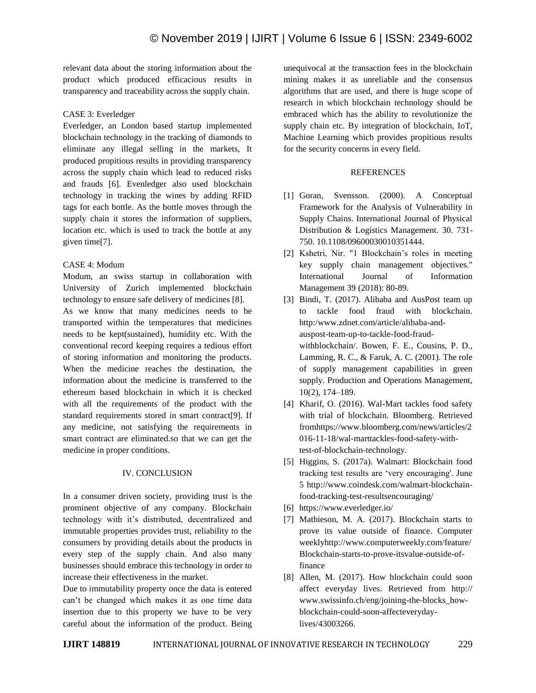relevant data about the storing information about the product which produced efficacious results in transparency and traceability across the supply chain.

# CASE 3: Everledger

Everledger, an London based startup implemented blockchain technology in the tracking of diamonds to eliminate any illegal selling in the markets, It produced propitious results in providing transparency across the supply chain which lead to reduced risks and frauds [6]. Evenledger also used blockchain technology in tracking the wines by adding RFID tags for each bottle. As the bottle moves through the supply chain it stores the information of suppliers, location etc. which is used to track the bottle at any given time[7].

# CASE 4: Modum

Modum, an swiss startup in collaboration with University of Zurich implemented blockchain technology to ensure safe delivery of medicines [8]. As we know that many medicines needs to be transported within the temperatures that medicines needs to be kept(sustained), humidity etc. With the conventional record keeping requires a tedious effort of storing information and monitoring the products. When the medicine reaches the destination, the information about the medicine is transferred to the ethereum based blockchain in which it is checked with all the requirements of the product with the standard requirements stored in smart contract[9]. If any medicine, not satisfying the requirements in smart contract are eliminated.so that we can get the medicine in proper conditions.

# IV. CONCLUSION

In a consumer driven society, providing trust is the prominent objective of any company. Blockchain technology with it"s distributed, decentralized and immutable properties provides trust, reliability to the consumers by providing details about the products in every step of the supply chain. And also many businesses should embrace this technology in order to increase their effectiveness in the market.

Due to immutability property once the data is entered can"t be changed which makes it as one time data insertion due to this property we have to be very careful about the information of the product. Being unequivocal at the transaction fees in the blockchain mining makes it as unreliable and the consensus algorithms that are used, and there is huge scope of research in which blockchain technology should be embraced which has the ability to revolutionize the supply chain etc. By integration of blockchain, IoT, Machine Learning which provides propitious results for the security concerns in every field.

#### **REFERENCES**

- [1] Goran, Svensson. (2000). A Conceptual Framework for the Analysis of Vulnerability in Supply Chains. International Journal of Physical Distribution & Logistics Management. 30. 731- 750. 10.1108/09600030010351444.
- [2] Kshetri, Nir. "1 Blockchain"s roles in meeting key supply chain management objectives." International Journal of Information Management 39 (2018): 80-89.
- [3] Bindi, T. (2017). Alibaba and AusPost team up to tackle food fraud with blockchain. http:/www.zdnet.com/article/alibaba-andauspost-team-up-to-tackle-food-fraudwithblockchain/. Bowen, F. E., Cousins, P. D., Lamming, R. C., & Faruk, A. C. (2001). The role of supply management capabilities in green supply. Production and Operations Management, 10(2), 174–189.
- [4] Kharif, O. (2016). Wal-Mart tackles food safety with trial of blockchain. Bloomberg. Retrieved fromhttps://www.bloomberg.com/news/articles/2 016-11-18/wal-marttackles-food-safety-withtest-of-blockchain-technology.
- [5] Higgins, S. (2017a). Walmart: Blockchain food tracking test results are "very encouraging'. June 5 http://www.coindesk.com/walmart-blockchainfood-tracking-test-resultsencouraging/
- [6] https://www.everledger.io/
- [7] Mathieson, M. A. (2017). Blockchain starts to prove its value outside of finance. Computer weeklyhttp://www.computerweekly.com/feature/ Blockchain-starts-to-prove-itsvalue-outside-offinance
- [8] Allen, M. (2017). How blockchain could soon affect everyday lives. Retrieved from http:// www.swissinfo.ch/eng/joining-the-blocks\_howblockchain-could-soon-affecteverydaylives/43003266.